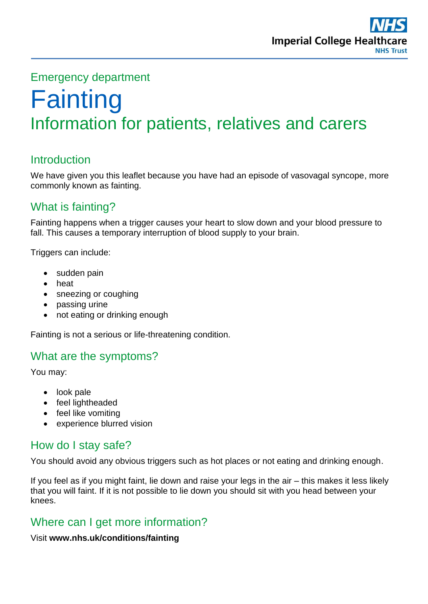# Emergency department

# **Fainting** Information for patients, relatives and carers

# **Introduction**

We have given you this leaflet because you have had an episode of vasovagal syncope, more commonly known as fainting.

# What is fainting?

Fainting happens when a trigger causes your heart to slow down and your blood pressure to fall. This causes a temporary interruption of blood supply to your brain.

Triggers can include:

- sudden pain
- heat
- sneezing or coughing
- passing urine
- not eating or drinking enough

Fainting is not a serious or life-threatening condition.

## What are the symptoms?

You may:

- look pale
- feel lightheaded
- feel like vomiting
- experience blurred vision

## How do I stay safe?

You should avoid any obvious triggers such as hot places or not eating and drinking enough.

If you feel as if you might faint, lie down and raise your legs in the air – this makes it less likely that you will faint. If it is not possible to lie down you should sit with you head between your knees.

## Where can I get more information?

Visit **www.nhs.uk/conditions/fainting**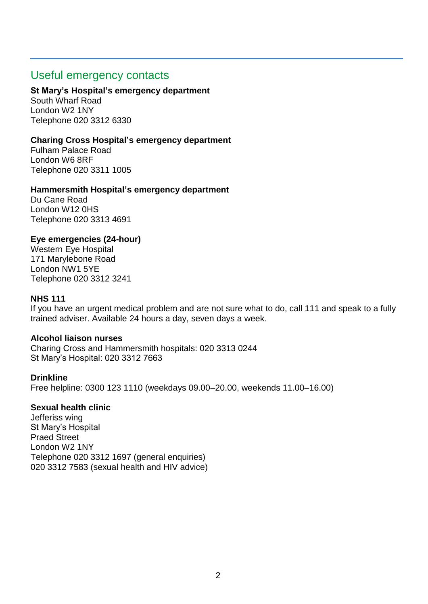## Useful emergency contacts

#### **St Mary's Hospital's emergency department**

South Wharf Road London W2 1NY Telephone 020 3312 6330

#### **Charing Cross Hospital's emergency department**

Fulham Palace Road London W6 8RF Telephone 020 3311 1005

#### **Hammersmith Hospital's emergency department**

Du Cane Road London W12 0HS Telephone 020 3313 4691

#### **Eye emergencies (24-hour)**

Western Eye Hospital 171 Marylebone Road London NW1 5YE Telephone 020 3312 3241

#### **NHS 111**

If you have an urgent medical problem and are not sure what to do, call 111 and speak to a fully trained adviser. Available 24 hours a day, seven days a week.

#### **Alcohol liaison nurses**

Charing Cross and Hammersmith hospitals: 020 3313 0244 St Mary's Hospital: 020 3312 7663

#### **Drinkline**

Free helpline: 0300 123 1110 (weekdays 09.00–20.00, weekends 11.00–16.00)

#### **Sexual health clinic**

Jefferiss wing St Mary's Hospital Praed Street London W2 1NY Telephone 020 3312 1697 (general enquiries) 020 3312 7583 (sexual health and HIV advice)